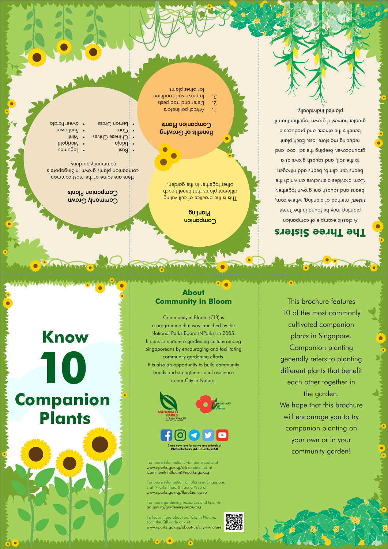# **Know Companion Plants 10**





HAMARA AMPAMAA AMMAA BEEN MARAMAAN MARAA AHAA HAMARAMAA KA

This brochure features

**WASCRAN** 

# Commonly Grown Companion Plants

Here are some of the most common companion plants grown in Singapore's community gardens:

tniM • • Suntlower ototo<sup>q</sup> teew<sup>2</sup> •

> 10 of the most commonly generally refers to planting different plants that benefit

cultivated companion plants in Singapore. Companion planting each other together in the garden.

We hope that this brochure will encourage you to try companion planting on your own or in your community garden!

# **About Community in Bloom**

WANTED AND THE TANK OF THE TANK OF THE TANK OF THE TANK OF THE TANK OF THE TANK OF THE TANK OF THE TANK OF THE

Community in Bloom (CIB) is a programme that was launched by the National Parks Board (NParks) in 2005. It aims to nurture a gardening culture among Singaporeans by encouraging and facilitating community gardening efforts. It is also an opportunity to build community bonds and strengthen social resilience in our City in Nature.

For more information, visit our website at www.nparks.gov.sg/cib or email us at CommunityInBloom@nparks.gov.sg

- 
- $\vert$ ispg • Legungs  $\blacksquare$  Marigold
- l pinin B
- Chinese Chives Corn
- 
- 
- 
- 
- 
- **Grass Lemon Grass**
- Benefits of Growing Companion Plants
- attract pollingions and
- 2. Deter and trap pests
- a. Improve soil condition for other plants

For more information on plants in Singapore, visit NParks Flora & Fauna Web at www.nparks.gov.sg/florafaunaweb

For more gardening resources and tips, visit go.gov.sg/gardening-resources

To learn more about our City in Nature, scan the QR code or visit www.nparks.gov.sg/about-us/city-in-nature

**MAAN AMAAAAANGA GAASMAAAAAAA** 



# **The Three Sisters**

A classic example of companion planting may be found in the 'three sisters' method of planting, where corn, beans and squash are grown together. Corn provides a structure on which the beans can climb, beans add nitrogen to sp swoub yearbook gives a set of groundcover, keeping the soil cool and reducing moisture loss. Each plant benefits the others, and produces a greater harvest if grown together than if planted individually.

your love for nature and animals at #NParksBuzz #AnimalBuzzSG

. Companion

Planting

This is the practice of cultivating different plant that benefit each other together in the garden.